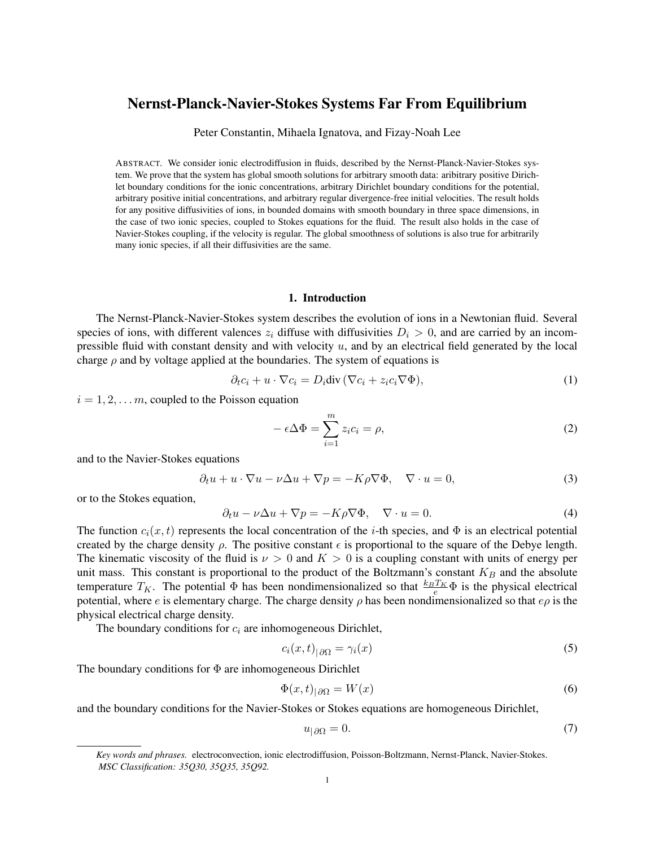# Nernst-Planck-Navier-Stokes Systems Far From Equilibrium

Peter Constantin, Mihaela Ignatova, and Fizay-Noah Lee

ABSTRACT. We consider ionic electrodiffusion in fluids, described by the Nernst-Planck-Navier-Stokes system. We prove that the system has global smooth solutions for arbitrary smooth data: aribitrary positive Dirichlet boundary conditions for the ionic concentrations, arbitrary Dirichlet boundary conditions for the potential, arbitrary positive initial concentrations, and arbitrary regular divergence-free initial velocities. The result holds for any positive diffusivities of ions, in bounded domains with smooth boundary in three space dimensions, in the case of two ionic species, coupled to Stokes equations for the fluid. The result also holds in the case of Navier-Stokes coupling, if the velocity is regular. The global smoothness of solutions is also true for arbitrarily many ionic species, if all their diffusivities are the same.

## 1. Introduction

The Nernst-Planck-Navier-Stokes system describes the evolution of ions in a Newtonian fluid. Several species of ions, with different valences  $z_i$  diffuse with diffusivities  $D_i > 0$ , and are carried by an incompressible fluid with constant density and with velocity  $u$ , and by an electrical field generated by the local charge  $\rho$  and by voltage applied at the boundaries. The system of equations is

<span id="page-0-0"></span>
$$
\partial_t c_i + u \cdot \nabla c_i = D_i \text{div} (\nabla c_i + z_i c_i \nabla \Phi), \tag{1}
$$

 $i = 1, 2, \dots m$ , coupled to the Poisson equation

<span id="page-0-1"></span>
$$
-\epsilon \Delta \Phi = \sum_{i=1}^{m} z_i c_i = \rho,\tag{2}
$$

and to the Navier-Stokes equations

<span id="page-0-2"></span>
$$
\partial_t u + u \cdot \nabla u - \nu \Delta u + \nabla p = -K \rho \nabla \Phi, \quad \nabla \cdot u = 0,
$$
\n(3)

or to the Stokes equation,

<span id="page-0-3"></span>
$$
\partial_t u - \nu \Delta u + \nabla p = -K \rho \nabla \Phi, \quad \nabla \cdot u = 0. \tag{4}
$$

The function  $c_i(x, t)$  represents the local concentration of the *i*-th species, and  $\Phi$  is an electrical potential created by the charge density  $\rho$ . The positive constant  $\epsilon$  is proportional to the square of the Debye length. The kinematic viscosity of the fluid is  $\nu > 0$  and  $K > 0$  is a coupling constant with units of energy per unit mass. This constant is proportional to the product of the Boltzmann's constant  $K_B$  and the absolute temperature  $T_K$ . The potential  $\Phi$  has been nondimensionalized so that  $\frac{k_B T_K}{e} \Phi$  is the physical electrical potential, where e is elementary charge. The charge density  $\rho$  has been nondimensionalized so that  $e\rho$  is the physical electrical charge density.

The boundary conditions for  $c_i$  are inhomogeneous Dirichlet,

<span id="page-0-4"></span>
$$
c_i(x,t)_{|\partial\Omega} = \gamma_i(x) \tag{5}
$$

The boundary conditions for  $\Phi$  are inhomogeneous Dirichlet

<span id="page-0-5"></span>
$$
\Phi(x,t)_{|\partial\Omega} = W(x) \tag{6}
$$

and the boundary conditions for the Navier-Stokes or Stokes equations are homogeneous Dirichlet,

<span id="page-0-6"></span>
$$
u_{|\partial\Omega} = 0.\t\t(7)
$$

*Key words and phrases.* electroconvection, ionic electrodiffusion, Poisson-Boltzmann, Nernst-Planck, Navier-Stokes. *MSC Classification: 35Q30, 35Q35, 35Q92.*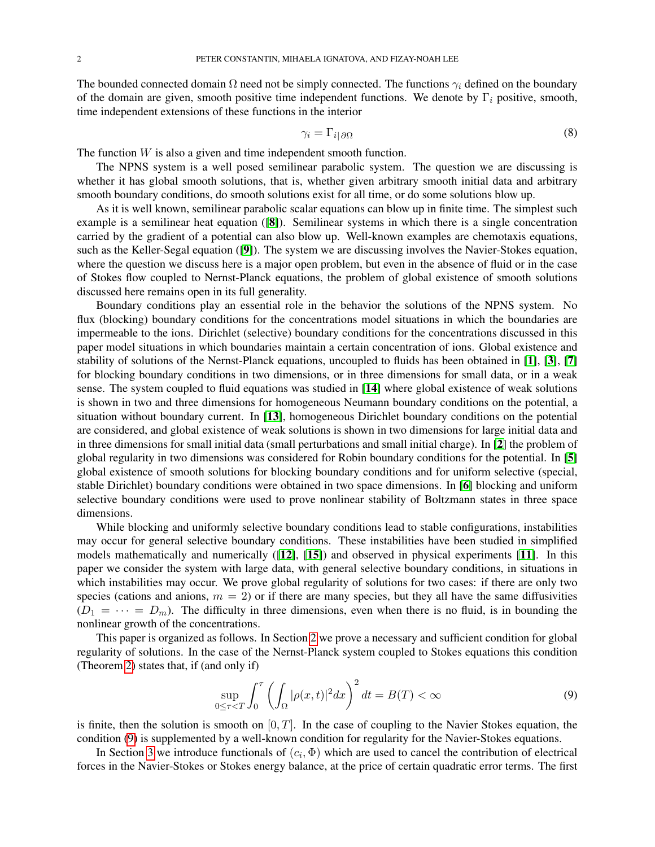The bounded connected domain  $\Omega$  need not be simply connected. The functions  $\gamma_i$  defined on the boundary of the domain are given, smooth positive time independent functions. We denote by  $\Gamma_i$  positive, smooth, time independent extensions of these functions in the interior

$$
\gamma_i = \Gamma_{i|\partial\Omega} \tag{8}
$$

The function  $W$  is also a given and time independent smooth function.

The NPNS system is a well posed semilinear parabolic system. The question we are discussing is whether it has global smooth solutions, that is, whether given arbitrary smooth initial data and arbitrary smooth boundary conditions, do smooth solutions exist for all time, or do some solutions blow up.

As it is well known, semilinear parabolic scalar equations can blow up in finite time. The simplest such example is a semilinear heat equation ([[8](#page-12-0)]). Semilinear systems in which there is a single concentration carried by the gradient of a potential can also blow up. Well-known examples are chemotaxis equations, such as the Keller-Segal equation ([[9](#page-12-1)]). The system we are discussing involves the Navier-Stokes equation, where the question we discuss here is a major open problem, but even in the absence of fluid or in the case of Stokes flow coupled to Nernst-Planck equations, the problem of global existence of smooth solutions discussed here remains open in its full generality.

Boundary conditions play an essential role in the behavior the solutions of the NPNS system. No flux (blocking) boundary conditions for the concentrations model situations in which the boundaries are impermeable to the ions. Dirichlet (selective) boundary conditions for the concentrations discussed in this paper model situations in which boundaries maintain a certain concentration of ions. Global existence and stability of solutions of the Nernst-Planck equations, uncoupled to fluids has been obtained in [[1](#page-12-2)], [[3](#page-12-3)], [[7](#page-12-4)] for blocking boundary conditions in two dimensions, or in three dimensions for small data, or in a weak sense. The system coupled to fluid equations was studied in [[14](#page-12-5)] where global existence of weak solutions is shown in two and three dimensions for homogeneous Neumann boundary conditions on the potential, a situation without boundary current. In [[13](#page-12-6)], homogeneous Dirichlet boundary conditions on the potential are considered, and global existence of weak solutions is shown in two dimensions for large initial data and in three dimensions for small initial data (small perturbations and small initial charge). In [[2](#page-12-7)] the problem of global regularity in two dimensions was considered for Robin boundary conditions for the potential. In [[5](#page-12-8)] global existence of smooth solutions for blocking boundary conditions and for uniform selective (special, stable Dirichlet) boundary conditions were obtained in two space dimensions. In [[6](#page-12-9)] blocking and uniform selective boundary conditions were used to prove nonlinear stability of Boltzmann states in three space dimensions.

While blocking and uniformly selective boundary conditions lead to stable configurations, instabilities may occur for general selective boundary conditions. These instabilities have been studied in simplified models mathematically and numerically ([[12](#page-12-10)], [[15](#page-12-11)]) and observed in physical experiments [[11](#page-12-12)]. In this paper we consider the system with large data, with general selective boundary conditions, in situations in which instabilities may occur. We prove global regularity of solutions for two cases: if there are only two species (cations and anions,  $m = 2$ ) or if there are many species, but they all have the same diffusivities  $(D_1 = \cdots = D_m)$ . The difficulty in three dimensions, even when there is no fluid, is in bounding the nonlinear growth of the concentrations.

This paper is organized as follows. In Section [2](#page-2-0) we prove a necessary and sufficient condition for global regularity of solutions. In the case of the Nernst-Planck system coupled to Stokes equations this condition (Theorem [2\)](#page-5-0) states that, if (and only if)

<span id="page-1-0"></span>
$$
\sup_{0 \le \tau < T} \int_0^\tau \left( \int_{\Omega} |\rho(x, t)|^2 dx \right)^2 dt = B(T) < \infty \tag{9}
$$

is finite, then the solution is smooth on  $[0, T]$ . In the case of coupling to the Navier Stokes equation, the condition [\(9\)](#page-1-0) is supplemented by a well-known condition for regularity for the Navier-Stokes equations.

In Section [3](#page-6-0) we introduce functionals of  $(c_i, \Phi)$  which are used to cancel the contribution of electrical forces in the Navier-Stokes or Stokes energy balance, at the price of certain quadratic error terms. The first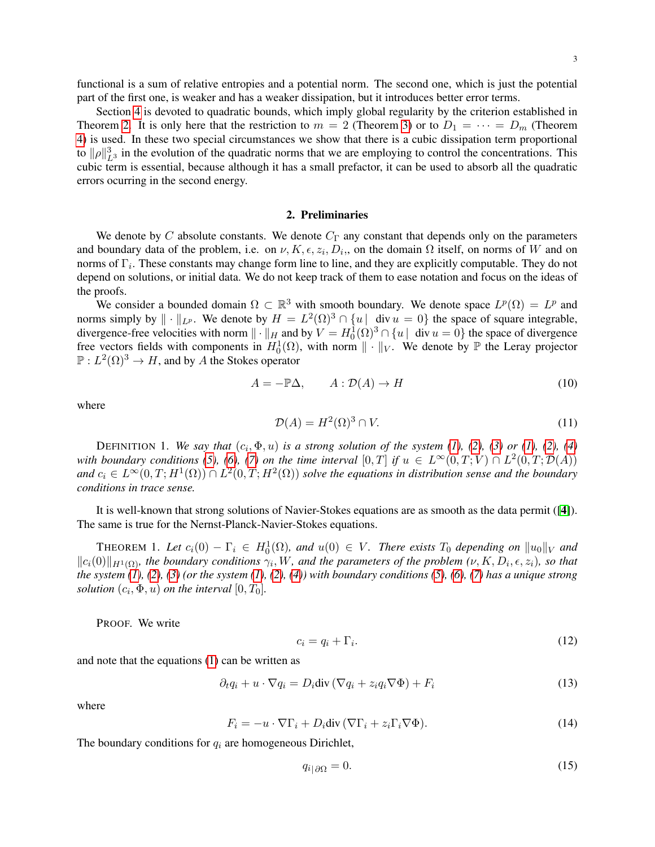functional is a sum of relative entropies and a potential norm. The second one, which is just the potential part of the first one, is weaker and has a weaker dissipation, but it introduces better error terms.

Section [4](#page-8-0) is devoted to quadratic bounds, which imply global regularity by the criterion established in Theorem [2.](#page-5-0) It is only here that the restriction to  $m = 2$  (Theorem [3\)](#page-9-0) or to  $D_1 = \cdots = D_m$  (Theorem [4\)](#page-10-0) is used. In these two special circumstances we show that there is a cubic dissipation term proportional to  $\|\rho\|_{L^3}^3$  in the evolution of the quadratic norms that we are employing to control the concentrations. This cubic term is essential, because although it has a small prefactor, it can be used to absorb all the quadratic errors ocurring in the second energy.

## 2. Preliminaries

<span id="page-2-0"></span>We denote by C absolute constants. We denote  $C_{\Gamma}$  any constant that depends only on the parameters and boundary data of the problem, i.e. on  $\nu, K, \epsilon, z_i, D_i$ , on the domain  $\Omega$  itself, on norms of W and on norms of  $\Gamma_i$ . These constants may change form line to line, and they are explicitly computable. They do not depend on solutions, or initial data. We do not keep track of them to ease notation and focus on the ideas of the proofs.

We consider a bounded domain  $\Omega \subset \mathbb{R}^3$  with smooth boundary. We denote space  $L^p(\Omega) = L^p$  and norms simply by  $\|\cdot\|_{L^p}$ . We denote by  $H = L^2(\Omega)^3 \cap \{u \mid \text{div } u = 0\}$  the space of square integrable, divergence-free velocities with norm  $\|\cdot\|_H$  and by  $V = H_0^1(\Omega)^3 \cap \{u \mid \text{div } u = 0\}$  the space of divergence free vectors fields with components in  $H_0^1(\Omega)$ , with norm  $\|\cdot\|_V$ . We denote by  $\mathbb P$  the Leray projector  $\mathbb{P}: L^2(\Omega)^3 \to H$ , and by A the Stokes operator

$$
A = -\mathbb{P}\Delta, \qquad A: \mathcal{D}(A) \to H \tag{10}
$$

where

$$
\mathcal{D}(A) = H^2(\Omega)^3 \cap V. \tag{11}
$$

DEFINITION 1. We say that  $(c_i, \Phi, u)$  is a strong solution of the system  $(1)$ ,  $(2)$ ,  $(3)$  or  $(1)$ ,  $(2)$ ,  $(4)$ *with boundary conditions [\(5\)](#page-0-4), [\(6\)](#page-0-5), [\(7\)](#page-0-6) on the time interval*  $[0,T]$  *if*  $u \in L^{\infty}(0,T;V) \cap L^2(0,T;D(A))$ and  $c_i \in L^{\infty}(0,T;H^1(\Omega)) \cap L^2(0,T;H^2(\Omega))$  solve the equations in distribution sense and the boundary *conditions in trace sense.*

It is well-known that strong solutions of Navier-Stokes equations are as smooth as the data permit ([[4](#page-12-13)]). The same is true for the Nernst-Planck-Navier-Stokes equations.

<span id="page-2-2"></span>**THEOREM** 1. Let  $c_i(0) - \Gamma_i \in H_0^1(\Omega)$ , and  $u(0) \in V$ . There exists  $T_0$  depending on  $||u_0||_V$  and  $||c_i(0)||_{H^1(\Omega)}$ , the boundary conditions  $\gamma_i, W$ , and the parameters of the problem  $(\nu, K, D_i, \epsilon, z_i)$ , so that the system  $(1)$ ,  $(2)$ ,  $(3)$  (or the system  $(1)$ ,  $(2)$ ,  $(4)$ ) with boundary conditions  $(5)$ ,  $(6)$ ,  $(7)$  has a unique strong *solution*  $(c_i, \Phi, u)$  *on the interval*  $[0, T_0]$ *.* 

PROOF. We write

$$
c_i = q_i + \Gamma_i. \tag{12}
$$

and note that the equations [\(1\)](#page-0-0) can be written as

<span id="page-2-1"></span>
$$
\partial_t q_i + u \cdot \nabla q_i = D_i \text{div} (\nabla q_i + z_i q_i \nabla \Phi) + F_i \tag{13}
$$

where

<span id="page-2-4"></span>
$$
F_i = -u \cdot \nabla \Gamma_i + D_i \text{div} (\nabla \Gamma_i + z_i \Gamma_i \nabla \Phi). \tag{14}
$$

The boundary conditions for  $q_i$  are homogeneous Dirichlet,

<span id="page-2-3"></span>
$$
q_{i|\partial\Omega} = 0.\tag{15}
$$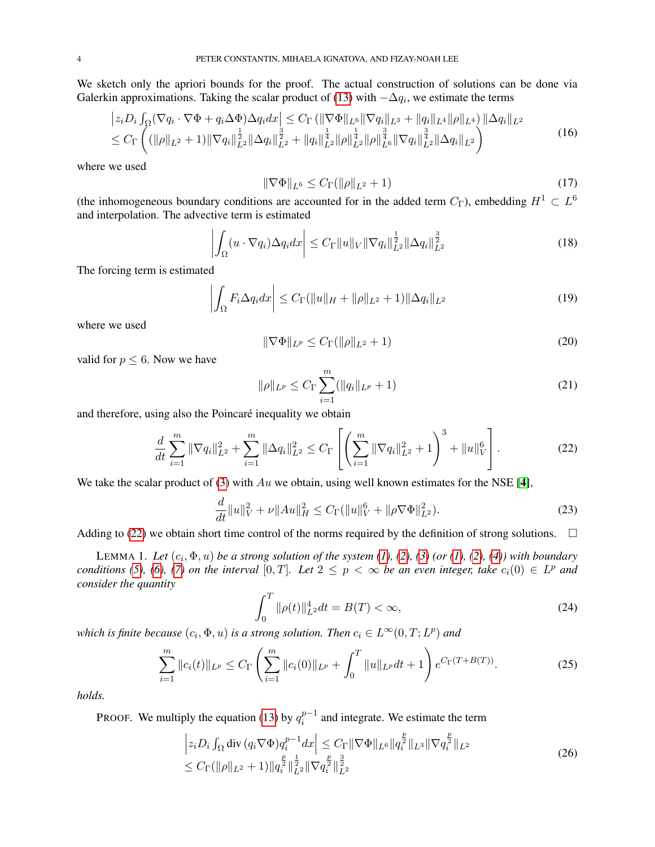We sketch only the apriori bounds for the proof. The actual construction of solutions can be done via Galerkin approximations. Taking the scalar product of [\(13\)](#page-2-1) with  $-\Delta q_i$ , we estimate the terms

<span id="page-3-4"></span>
$$
\begin{split} &\left|z_{i}D_{i}\int_{\Omega}(\nabla q_{i}\cdot\nabla\Phi+q_{i}\Delta\Phi)\Delta q_{i}dx\right|\leq C_{\Gamma}\left(\|\nabla\Phi\|_{L^{6}}\|\nabla q_{i}\|_{L^{3}}+\|q_{i}\|_{L^{4}}\|\rho\|_{L^{4}}\right)\|\Delta q_{i}\|_{L^{2}}\\ &\leq C_{\Gamma}\left(\left(\|\rho\|_{L^{2}}+1\right)\|\nabla q_{i}\|_{L^{2}}^{\frac{1}{2}}\|\Delta q_{i}\|_{L^{2}}^{\frac{3}{2}}+\|q_{i}\|_{L^{2}}^{\frac{1}{4}}\|\rho\|_{L^{2}}^{\frac{1}{4}}\|\rho\|_{L^{6}}^{\frac{3}{4}}\|\nabla q_{i}\|_{L^{2}}^{\frac{3}{4}}\|\Delta q_{i}\|_{L^{2}}\right)\end{split} \tag{16}
$$

where we used

$$
\|\nabla\Phi\|_{L^6} \le C_\Gamma(\|\rho\|_{L^2} + 1) \tag{17}
$$

(the inhomogeneous boundary conditions are accounted for in the added term  $C_{\Gamma}$ ), embedding  $H^1 \subset L^6$ and interpolation. The advective term is estimated

<span id="page-3-5"></span>
$$
\left| \int_{\Omega} (u \cdot \nabla q_i) \Delta q_i dx \right| \leq C_{\Gamma} \|u\|_{V} \|\nabla q_i\|_{L^2}^{\frac{1}{2}} \|\Delta q_i\|_{L^2}^{\frac{3}{2}} \tag{18}
$$

The forcing term is estimated

$$
\left| \int_{\Omega} F_i \Delta q_i dx \right| \le C_{\Gamma}(\|u\|_H + \|\rho\|_{L^2} + 1) \|\Delta q_i\|_{L^2}
$$
\n(19)

where we used

$$
\|\nabla\Phi\|_{L^p} \le C_\Gamma(\|\rho\|_{L^2} + 1)
$$
\n(20)

valid for  $p \leq 6$ . Now we have

<span id="page-3-1"></span>
$$
\|\rho\|_{L^p} \le C_\Gamma \sum_{i=1}^m (\|q_i\|_{L^p} + 1) \tag{21}
$$

and therefore, using also the Poincaré inequality we obtain

<span id="page-3-0"></span>
$$
\frac{d}{dt} \sum_{i=1}^{m} \|\nabla q_i\|_{L^2}^2 + \sum_{i=1}^{m} \|\Delta q_i\|_{L^2}^2 \le C_\Gamma \left[ \left( \sum_{i=1}^{m} \|\nabla q_i\|_{L^2}^2 + 1 \right)^3 + \|u\|_V^6 \right].
$$
 (22)

We take the scalar product of [\(3\)](#page-0-2) with  $Au$  we obtain, using well known estimates for the NSE [[4](#page-12-13)],

$$
\frac{d}{dt}||u||_V^2 + \nu||Au||_H^2 \le C_\Gamma(||u||_V^6 + ||\rho \nabla \Phi||_{L^2}^2). \tag{23}
$$

Adding to [\(22\)](#page-3-0) we obtain short time control of the norms required by the definition of strong solutions.  $\Box$ 

<span id="page-3-6"></span>LEMMA 1. Let  $(c_i, \Phi, u)$  be a strong solution of the system  $(1)$ ,  $(2)$ ,  $(3)$  (or  $(1)$ ,  $(2)$ ,  $(4)$ ) with boundary *conditions* [\(5\)](#page-0-4), [\(6\)](#page-0-5), [\(7\)](#page-0-6) on the interval  $[0,T]$ . Let  $2 \leq p < \infty$  be an even integer, take  $c_i(0) \in L^p$  and *consider the quantity*

<span id="page-3-3"></span>
$$
\int_0^T \|\rho(t)\|_{L^2}^4 dt = B(T) < \infty,\tag{24}
$$

*which is finite because*  $(c_i, \Phi, u)$  *is a strong solution. Then*  $c_i \in L^{\infty}(0, T; L^p)$  *and* 

<span id="page-3-2"></span>
$$
\sum_{i=1}^{m} ||c_i(t)||_{L^p} \le C_\Gamma \left( \sum_{i=1}^{m} ||c_i(0)||_{L^p} + \int_0^T ||u||_{L^p} dt + 1 \right) e^{C_\Gamma (T + B(T))}.
$$
 (25)

*holds.*

PROOF. We multiply the equation [\(13\)](#page-2-1) by  $q_i^{p-1}$  $i^{p-1}$  and integrate. We estimate the term

$$
\left| z_i D_i \int_{\Omega} \text{div} \left( q_i \nabla \Phi \right) q_i^{p-1} dx \right| \leq C_{\Gamma} \|\nabla \Phi\|_{L^6} \|q_i^{\frac{p}{2}}\|_{L^3} \|\nabla q_i^{\frac{p}{2}}\|_{L^2} \leq C_{\Gamma} (\|\rho\|_{L^2} + 1) \|q_i^{\frac{p}{2}}\|_{L^2}^{\frac{1}{2}} \|\nabla q_i^{\frac{p}{2}}\|_{L^2}^{\frac{3}{2}} \tag{26}
$$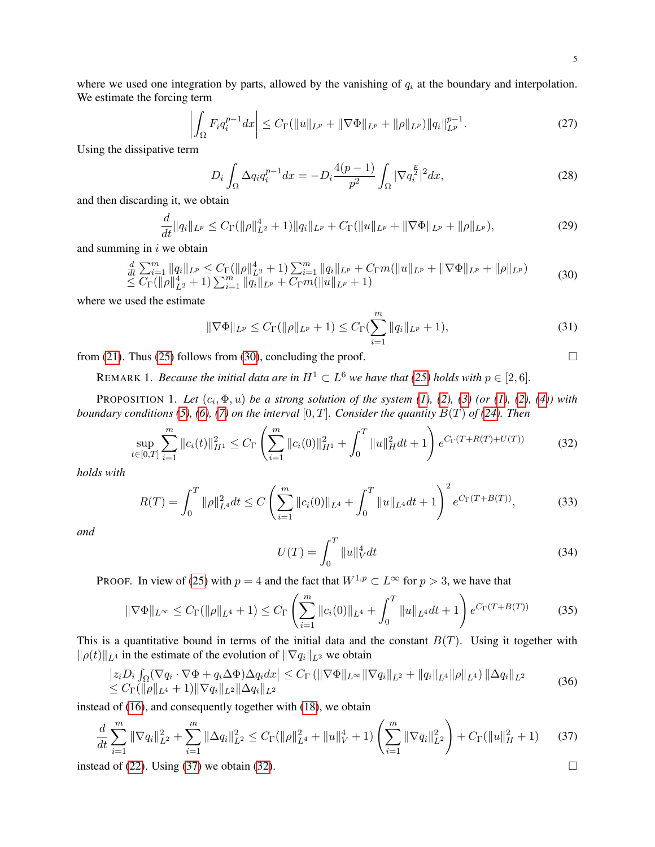where we used one integration by parts, allowed by the vanishing of  $q_i$  at the boundary and interpolation. We estimate the forcing term

$$
\left| \int_{\Omega} F_i q_i^{p-1} dx \right| \leq C_{\Gamma}(\|u\|_{L^p} + \|\nabla \Phi\|_{L^p} + \|\rho\|_{L^p}) \|q_i\|_{L^p}^{p-1}.
$$
 (27)

Using the dissipative term

$$
D_i \int_{\Omega} \Delta q_i q_i^{p-1} dx = -D_i \frac{4(p-1)}{p^2} \int_{\Omega} |\nabla q_i^{\frac{p}{2}}|^2 dx, \tag{28}
$$

and then discarding it, we obtain

$$
\frac{d}{dt}||q_i||_{L^p} \leq C_{\Gamma}(||\rho||_{L^2}^4 + 1)||q_i||_{L^p} + C_{\Gamma}(||u||_{L^p} + ||\nabla\Phi||_{L^p} + ||\rho||_{L^p}),\tag{29}
$$

and summing in  $i$  we obtain

<span id="page-4-0"></span>
$$
\frac{d}{dt} \sum_{i=1}^{m} ||q_i||_{L^p} \leq C_{\Gamma}(||\rho||_{L^2}^4 + 1) \sum_{i=1}^{m} ||q_i||_{L^p} + C_{\Gamma}m(||u||_{L^p} + ||\nabla \Phi||_{L^p} + ||\rho||_{L^p})
$$
\n
$$
\leq C_{\Gamma}(||\rho||_{L^2}^4 + 1) \sum_{i=1}^{m} ||q_i||_{L^p} + C_{\Gamma}m(||u||_{L^p} + 1)
$$
\n(30)

where we used the estimate

<span id="page-4-6"></span>
$$
\|\nabla\Phi\|_{L^p} \le C_\Gamma(\|\rho\|_{L^p} + 1) \le C_\Gamma(\sum_{i=1}^m \|q_i\|_{L^p} + 1),\tag{31}
$$

from [\(21\)](#page-3-1). Thus [\(25\)](#page-3-2) follows from [\(30\)](#page-4-0), concluding the proof.  $\square$ 

REMARK 1. *Because the initial data are in*  $H^1 \subset L^6$  *we have that* [\(25\)](#page-3-2) holds with  $p \in [2, 6]$ .

<span id="page-4-3"></span>**PROPOSITION 1.** Let  $(c_i, \Phi, u)$  be a strong solution of the system  $(1)$ ,  $(2)$ ,  $(3)$   $(or (1), (2), (4))$  $(or (1), (2), (4))$  $(or (1), (2), (4))$  with *boundary conditions [\(5\)](#page-0-4), [\(6\)](#page-0-5), [\(7\)](#page-0-6) on the interval* [0, T]*. Consider the quantity*  $B(T)$  *of [\(24\)](#page-3-3). Then* 

<span id="page-4-2"></span>
$$
\sup_{t \in [0,T]} \sum_{i=1}^m \|c_i(t)\|_{H^1}^2 \le C_\Gamma \left( \sum_{i=1}^m \|c_i(0)\|_{H^1}^2 + \int_0^T \|u\|_H^2 dt + 1 \right) e^{C_\Gamma (T + R(T) + U(T))}
$$
(32)

*holds with*

<span id="page-4-4"></span>
$$
R(T) = \int_0^T \|\rho\|_{L^4}^2 dt \le C \left( \sum_{i=1}^m \|c_i(0)\|_{L^4} + \int_0^T \|u\|_{L^4} dt + 1 \right)^2 e^{C_\Gamma(T + B(T))},\tag{33}
$$

*and*

<span id="page-4-5"></span>
$$
U(T) = \int_0^T \|u\|_V^4 dt
$$
 (34)

PROOF. In view of [\(25\)](#page-3-2) with  $p = 4$  and the fact that  $W^{1,p} \subset L^{\infty}$  for  $p > 3$ , we have that

$$
\|\nabla\Phi\|_{L^{\infty}} \leq C_{\Gamma}(\|\rho\|_{L^{4}}+1) \leq C_{\Gamma}\left(\sum_{i=1}^{m} \|c_{i}(0)\|_{L^{4}} + \int_{0}^{T} \|u\|_{L^{4}}dt + 1\right)e^{C_{\Gamma}(T+B(T))}
$$
(35)

This is a quantitative bound in terms of the initial data and the constant  $B(T)$ . Using it together with  $\|\rho(t)\|_{L^4}$  in the estimate of the evolution of  $\|\nabla q_i\|_{L^2}$  we obtain

$$
\begin{aligned} \left| z_i D_i \int_{\Omega} (\nabla q_i \cdot \nabla \Phi + q_i \Delta \Phi) \Delta q_i dx \right| &\leq C_{\Gamma} \left( \| \nabla \Phi \|_{L^{\infty}} \| \nabla q_i \|_{L^2} + \| q_i \|_{L^4} \| \rho \|_{L^4} \right) \| \Delta q_i \|_{L^2} \\ &\leq C_{\Gamma} (\|\rho\|_{L^4} + 1) \| \nabla q_i \|_{L^2} \| \Delta q_i \|_{L^2} \end{aligned} \tag{36}
$$

instead of [\(16\)](#page-3-4), and consequently together with [\(18\)](#page-3-5), we obtain

<span id="page-4-1"></span>
$$
\frac{d}{dt} \sum_{i=1}^{m} \|\nabla q_i\|_{L^2}^2 + \sum_{i=1}^{m} \|\Delta q_i\|_{L^2}^2 \le C_\Gamma(\|\rho\|_{L^4}^2 + \|u\|_V^4 + 1) \left(\sum_{i=1}^{m} \|\nabla q_i\|_{L^2}^2\right) + C_\Gamma(\|u\|_H^2 + 1) \tag{37}
$$

instead of [\(22\)](#page-3-0). Using [\(37\)](#page-4-1) we obtain [\(32\)](#page-4-2).

$$
f_{\rm{max}}
$$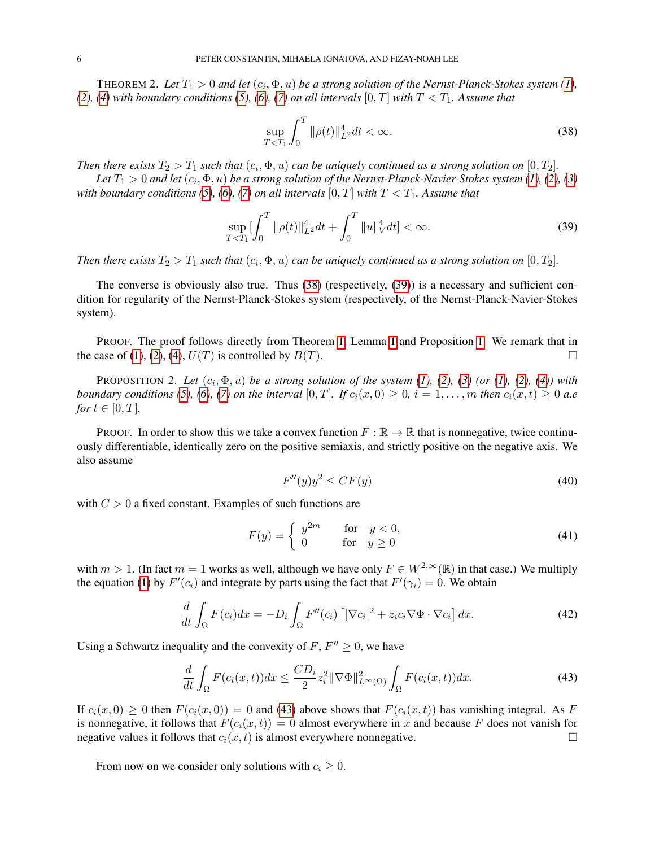<span id="page-5-0"></span>THEOREM 2. Let  $T_1 > 0$  and let  $(c_i, \Phi, u)$  be a strong solution of the Nernst-Planck-Stokes system [\(1\)](#page-0-0), [\(2\)](#page-0-1)*,* [\(4\)](#page-0-3) with boundary conditions [\(5\)](#page-0-4), [\(6\)](#page-0-5), [\(7\)](#page-0-6) on all intervals  $[0, T]$  with  $T < T_1$ *. Assume that* 

<span id="page-5-1"></span>
$$
\sup_{T < T_1} \int_0^T \|\rho(t)\|_{L^2}^4 dt < \infty. \tag{38}
$$

*Then there exists*  $T_2 > T_1$  *such that*  $(c_i, \Phi, u)$  *can be uniquely continued as a strong solution on*  $[0, T_2]$ *.* 

Let  $T_1 > 0$  and let  $(c_i, \Phi, u)$  be a strong solution of the Nernst-Planck-Navier-Stokes system [\(1\)](#page-0-0), [\(2\)](#page-0-1), [\(3\)](#page-0-2) *with boundary conditions [\(5\)](#page-0-4), [\(6\)](#page-0-5), [\(7\)](#page-0-6) on all intervals*  $[0, T]$  *with*  $T < T_1$ *. Assume that* 

<span id="page-5-2"></span>
$$
\sup_{T < T_1} \left[ \int_0^T \|\rho(t)\|_{L^2}^4 dt + \int_0^T \|u\|_V^4 dt \right] < \infty. \tag{39}
$$

*Then there exists*  $T_2 > T_1$  *such that*  $(c_i, \Phi, u)$  *can be uniquely continued as a strong solution on*  $[0, T_2]$ *.* 

The converse is obviously also true. Thus [\(38\)](#page-5-1) (respectively, [\(39\)](#page-5-2)) is a necessary and sufficient condition for regularity of the Nernst-Planck-Stokes system (respectively, of the Nernst-Planck-Navier-Stokes system).

PROOF. The proof follows directly from Theorem [1,](#page-2-2) Lemma [1](#page-3-6) and Proposition [1.](#page-4-3) We remark that in the case of [\(1\)](#page-0-0), [\(2\)](#page-0-1), [\(4\)](#page-0-3),  $U(T)$  is controlled by  $B(T)$ .

**PROPOSITION 2.** Let  $(c_i, \Phi, u)$  be a strong solution of the system  $(1)$ ,  $(2)$ ,  $(3)$   $(or (1), (2), (4))$  $(or (1), (2), (4))$  $(or (1), (2), (4))$  with *boundary conditions [\(5\)](#page-0-4), [\(6\)](#page-0-5), [\(7\)](#page-0-6) on the interval*  $[0, T]$ *. If*  $c_i(x, 0) \ge 0$ *, i* = 1, ..., *m then*  $c_i(x, t) \ge 0$  *a.e for*  $t \in [0, T]$ *.* 

PROOF. In order to show this we take a convex function  $F : \mathbb{R} \to \mathbb{R}$  that is nonnegative, twice continuously differentiable, identically zero on the positive semiaxis, and strictly positive on the negative axis. We also assume

$$
F''(y)y^2 \le CF(y) \tag{40}
$$

with  $C > 0$  a fixed constant. Examples of such functions are

$$
F(y) = \begin{cases} y^{2m} & \text{for } y < 0, \\ 0 & \text{for } y \ge 0 \end{cases}
$$
 (41)

with  $m > 1$ . (In fact  $m = 1$  works as well, although we have only  $F \in W^{2,\infty}(\mathbb{R})$  in that case.) We multiply the equation [\(1\)](#page-0-0) by  $F'(c_i)$  and integrate by parts using the fact that  $F'(\gamma_i) = 0$ . We obtain

$$
\frac{d}{dt} \int_{\Omega} F(c_i) dx = -D_i \int_{\Omega} F''(c_i) \left[ |\nabla c_i|^2 + z_i c_i \nabla \Phi \cdot \nabla c_i \right] dx.
$$
\n(42)

Using a Schwartz inequality and the convexity of  $F, F'' \geq 0$ , we have

<span id="page-5-3"></span>
$$
\frac{d}{dt} \int_{\Omega} F(c_i(x,t)) dx \le \frac{CD_i}{2} z_i^2 \|\nabla \Phi\|_{L^\infty(\Omega)}^2 \int_{\Omega} F(c_i(x,t)) dx.
$$
\n(43)

If  $c_i(x, 0) \ge 0$  then  $F(c_i(x, 0)) = 0$  and [\(43\)](#page-5-3) above shows that  $F(c_i(x, t))$  has vanishing integral. As F is nonnegative, it follows that  $F(c_i(x, t)) = 0$  almost everywhere in x and because F does not vanish for negative values it follows that  $c_i(x, t)$  is almost everywhere nonnegative.

From now on we consider only solutions with  $c_i \geq 0$ .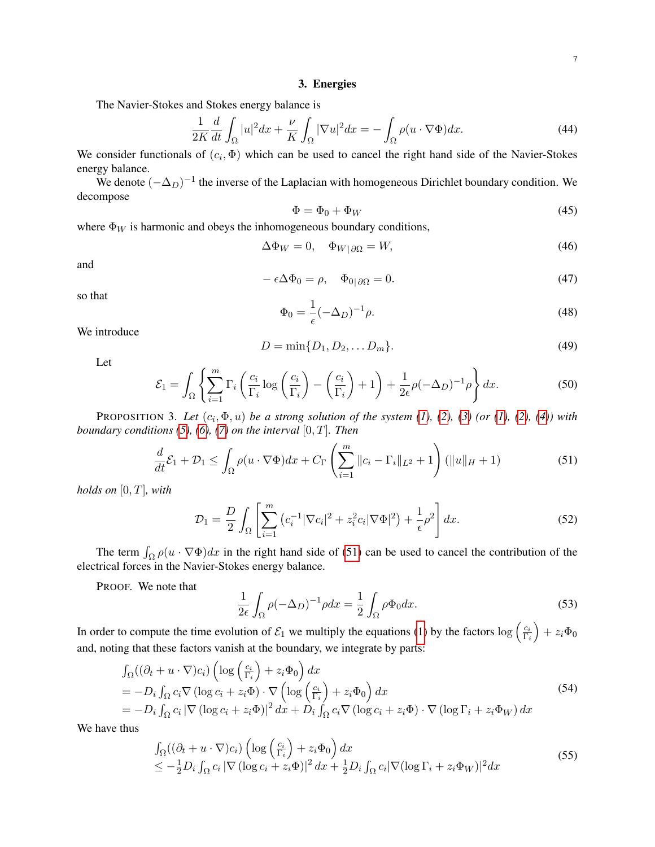#### 3. Energies

<span id="page-6-0"></span>The Navier-Stokes and Stokes energy balance is

<span id="page-6-4"></span>
$$
\frac{1}{2K}\frac{d}{dt}\int_{\Omega}|u|^{2}dx + \frac{\nu}{K}\int_{\Omega}|\nabla u|^{2}dx = -\int_{\Omega}\rho(u\cdot\nabla\Phi)dx.
$$
\n(44)

We consider functionals of  $(c_i, \Phi)$  which can be used to cancel the right hand side of the Navier-Stokes energy balance.

We denote  $(-\Delta_D)^{-1}$  the inverse of the Laplacian with homogeneous Dirichlet boundary condition. We decompose

$$
\Phi = \Phi_0 + \Phi_W \tag{45}
$$

where  $\Phi_W$  is harmonic and obeys the inhomogeneous boundary conditions,

$$
\Delta \Phi_W = 0, \quad \Phi_{W|\partial \Omega} = W,\tag{46}
$$

and

$$
-\epsilon \Delta \Phi_0 = \rho, \quad \Phi_{0|\partial \Omega} = 0. \tag{47}
$$

so that

$$
\Phi_0 = \frac{1}{\epsilon} (-\Delta_D)^{-1} \rho.
$$
\n(48)

We introduce

<span id="page-6-5"></span>
$$
D = \min\{D_1, D_2, \dots D_m\}.\tag{49}
$$

Let

$$
\mathcal{E}_1 = \int_{\Omega} \left\{ \sum_{i=1}^m \Gamma_i \left( \frac{c_i}{\Gamma_i} \log \left( \frac{c_i}{\Gamma_i} \right) - \left( \frac{c_i}{\Gamma_i} \right) + 1 \right) + \frac{1}{2\epsilon} \rho (-\Delta_D)^{-1} \rho \right\} dx.
$$
 (50)

**PROPOSITION 3.** Let  $(c_i, \Phi, u)$  be a strong solution of the system  $(1)$ ,  $(2)$ ,  $(3)$   $(or (1), (2), (4))$  $(or (1), (2), (4))$  $(or (1), (2), (4))$  with *boundary conditions [\(5\)](#page-0-4), [\(6\)](#page-0-5), [\(7\)](#page-0-6) on the interval*  $[0, T]$ *. Then* 

<span id="page-6-1"></span>
$$
\frac{d}{dt}\mathcal{E}_1 + \mathcal{D}_1 \le \int_{\Omega} \rho(u \cdot \nabla \Phi) dx + C_{\Gamma} \left( \sum_{i=1}^m \|c_i - \Gamma_i\|_{L^2} + 1 \right) (\|u\|_H + 1)
$$
\n(51)

*holds on* [0, T]*, with*

<span id="page-6-3"></span>
$$
\mathcal{D}_1 = \frac{D}{2} \int_{\Omega} \left[ \sum_{i=1}^{m} \left( c_i^{-1} |\nabla c_i|^2 + z_i^2 c_i |\nabla \Phi|^2 \right) + \frac{1}{\epsilon} \rho^2 \right] dx. \tag{52}
$$

The term  $\int_{\Omega} \rho(u \cdot \nabla \Phi) dx$  in the right hand side of [\(51\)](#page-6-1) can be used to cancel the contribution of the electrical forces in the Navier-Stokes energy balance.

PROOF. We note that

$$
\frac{1}{2\epsilon} \int_{\Omega} \rho(-\Delta_D)^{-1} \rho dx = \frac{1}{2} \int_{\Omega} \rho \Phi_0 dx.
$$
 (53)

In order to compute the time evolution of  $\mathcal{E}_1$  we multiply the equations [\(1\)](#page-0-0) by the factors  $\log \left( \frac{c_i}{\Gamma_s} \right)$  $\overline{\Gamma_i}$  $+ z_i \Phi_0$ and, noting that these factors vanish at the boundary, we integrate by parts:

$$
\int_{\Omega} ((\partial_t + u \cdot \nabla) c_i) \left( \log \left( \frac{c_i}{\Gamma_i} \right) + z_i \Phi_0 \right) dx
$$
\n
$$
= -D_i \int_{\Omega} c_i \nabla (\log c_i + z_i \Phi) \cdot \nabla \left( \log \left( \frac{c_i}{\Gamma_i} \right) + z_i \Phi_0 \right) dx
$$
\n
$$
= -D_i \int_{\Omega} c_i |\nabla (\log c_i + z_i \Phi)|^2 dx + D_i \int_{\Omega} c_i \nabla (\log c_i + z_i \Phi) \cdot \nabla (\log \Gamma_i + z_i \Phi_W) dx
$$
\nthus (54)

We have thus

<span id="page-6-2"></span>
$$
\int_{\Omega} ((\partial_t + u \cdot \nabla) c_i) \left( \log \left( \frac{c_i}{\Gamma_i} \right) + z_i \Phi_0 \right) dx
$$
\n
$$
\leq -\frac{1}{2} D_i \int_{\Omega} c_i |\nabla (\log c_i + z_i \Phi)|^2 dx + \frac{1}{2} D_i \int_{\Omega} c_i |\nabla (\log \Gamma_i + z_i \Phi_W)|^2 dx \tag{55}
$$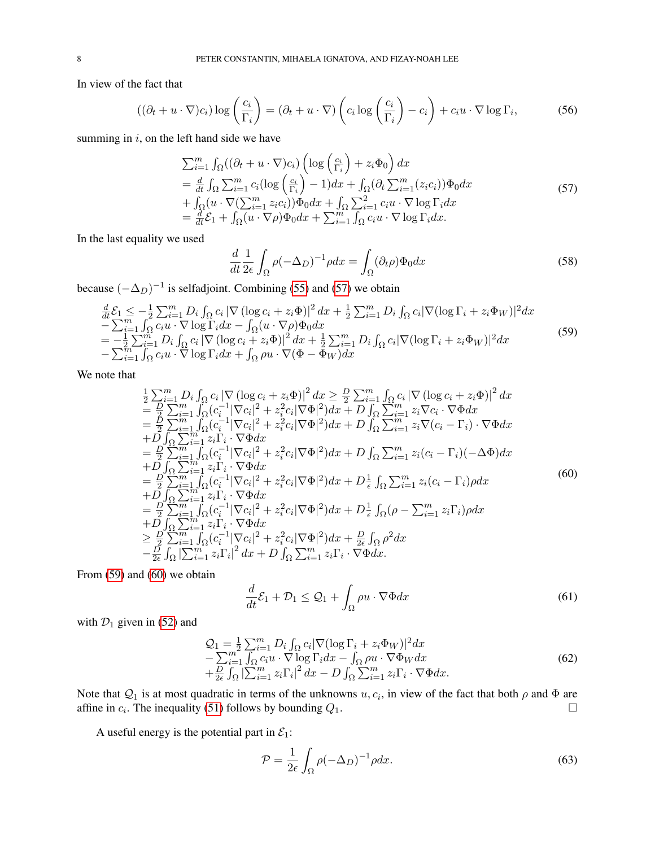In view of the fact that

$$
((\partial_t + u \cdot \nabla)c_i) \log \left(\frac{c_i}{\Gamma_i}\right) = (\partial_t + u \cdot \nabla) \left(c_i \log \left(\frac{c_i}{\Gamma_i}\right) - c_i\right) + c_i u \cdot \nabla \log \Gamma_i,\tag{56}
$$

summing in  $i$ , on the left hand side we have

<span id="page-7-0"></span>
$$
\sum_{i=1}^{m} \int_{\Omega} ((\partial_{t} + u \cdot \nabla) c_{i}) \left( \log \left( \frac{c_{i}}{\Gamma_{i}} \right) + z_{i} \Phi_{0} \right) dx
$$
\n
$$
= \frac{d}{dt} \int_{\Omega} \sum_{i=1}^{m} c_{i} (\log \left( \frac{c_{i}}{\Gamma_{i}} \right) - 1) dx + \int_{\Omega} (\partial_{t} \sum_{i=1}^{m} (z_{i} c_{i})) \Phi_{0} dx
$$
\n
$$
+ \int_{\Omega} (u \cdot \nabla (\sum_{i=1}^{m} z_{i} c_{i})) \Phi_{0} dx + \int_{\Omega} \sum_{i=1}^{2} c_{i} u \cdot \nabla \log \Gamma_{i} dx
$$
\n
$$
= \frac{d}{dt} \mathcal{E}_{1} + \int_{\Omega} (u \cdot \nabla \rho) \Phi_{0} dx + \sum_{i=1}^{m} \int_{\Omega} c_{i} u \cdot \nabla \log \Gamma_{i} dx.
$$
\n(57)

In the last equality we used

$$
\frac{d}{dt}\frac{1}{2\epsilon}\int_{\Omega}\rho(-\Delta_D)^{-1}\rho dx = \int_{\Omega}(\partial_t\rho)\Phi_0 dx\tag{58}
$$

because  $(-\Delta_D)^{-1}$  is selfadjoint. Combining [\(55\)](#page-6-2) and [\(57\)](#page-7-0) we obtain

<span id="page-7-1"></span>
$$
\begin{array}{lll}\n\frac{d}{dt}\mathcal{E}_{1} \leq -\frac{1}{2}\sum_{i=1}^{m}D_{i}\int_{\Omega}c_{i}|\nabla(\log c_{i}+z_{i}\Phi)|^{2} dx + \frac{1}{2}\sum_{i=1}^{m}D_{i}\int_{\Omega}c_{i}|\nabla(\log \Gamma_{i}+z_{i}\Phi_{W})|^{2} dx \\
-\sum_{i=1}^{m}\int_{\Omega}c_{i}u\cdot\nabla\log\Gamma_{i}dx - \int_{\Omega}(u\cdot\nabla\rho)\Phi_{0}dx \\
= -\frac{1}{2}\sum_{i=1}^{m}D_{i}\int_{\Omega}c_{i}|\nabla(\log c_{i}+z_{i}\Phi)|^{2} dx + \frac{1}{2}\sum_{i=1}^{m}D_{i}\int_{\Omega}c_{i}|\nabla(\log\Gamma_{i}+z_{i}\Phi_{W})|^{2} dx \\
-\sum_{i=1}^{m}\int_{\Omega}c_{i}u\cdot\nabla\log\Gamma_{i}dx + \int_{\Omega}\rho u\cdot\nabla(\Phi-\Phi_{W})dx\n\end{array} \tag{59}
$$

We note that

<span id="page-7-2"></span>
$$
\frac{1}{2}\sum_{i=1}^{m} D_{i} \int_{\Omega} c_{i} |\nabla (\log c_{i} + z_{i} \Phi)|^{2} dx \geq \frac{D}{2} \sum_{i=1}^{m} \int_{\Omega} c_{i} |\nabla (\log c_{i} + z_{i} \Phi)|^{2} dx \n= \frac{D}{2} \sum_{i=1}^{m} \int_{\Omega} (c_{i}^{-1} |\nabla c_{i}|^{2} + z_{i}^{2} c_{i} |\nabla \Phi|^{2}) dx + D \int_{\Omega} \sum_{i=1}^{m} z_{i} \nabla c_{i} \cdot \nabla \Phi dx \n+ D \int_{\Omega} \sum_{i=1}^{m} z_{i} \Gamma_{i} \cdot \nabla \Phi dx \n+ D \int_{\Omega} \sum_{i=1}^{m} z_{i} \Gamma_{i} \cdot \nabla \Phi dx \n+ D \int_{\Omega} \sum_{i=1}^{m} z_{i} \Gamma_{i} \cdot \nabla \Phi dx \n= \frac{D}{2} \sum_{i=1}^{m} \int_{\Omega} (c_{i}^{-1} |\nabla c_{i}|^{2} + z_{i}^{2} c_{i} |\nabla \Phi|^{2}) dx + D \int_{\Omega} \sum_{i=1}^{m} z_{i} (\nabla c_{i} - \Gamma_{i}) (\nabla \Phi) dx \n+ D \int_{\Omega} \sum_{i=1}^{m} z_{i} \Gamma_{i} \cdot \nabla \Phi dx \n= \frac{D}{2} \sum_{i=1}^{m} \int_{\Omega} (c_{i}^{-1} |\nabla c_{i}|^{2} + z_{i}^{2} c_{i} |\nabla \Phi|^{2}) dx + D \frac{1}{\epsilon} \int_{\Omega} \sum_{i=1}^{m} z_{i} (c_{i} - \Gamma_{i}) \rho dx \n+ D \int_{\Omega} \sum_{i=1}^{m} z_{i} \Gamma_{i} \cdot \nabla \Phi dx \n+ D \int_{\Omega} \sum_{i=1}^{m} z_{i} \Gamma_{i} \cdot \nabla \Phi dx \n= \frac{D}{2} \sum_{i=1}^{m} \int_{\Omega} (c_{i}^{-1} |\nabla c_{i}|^{2} + z_{i}^{2} c_{i} |\nabla \Phi|^{2}) dx + D \frac{1}{\epsilon
$$

From [\(59\)](#page-7-1) and [\(60\)](#page-7-2) we obtain

$$
\frac{d}{dt}\mathcal{E}_1 + \mathcal{D}_1 \le \mathcal{Q}_1 + \int_{\Omega} \rho u \cdot \nabla \Phi dx \tag{61}
$$

with  $\mathcal{D}_1$  given in [\(52\)](#page-6-3) and

<span id="page-7-4"></span>
$$
Q_{1} = \frac{1}{2} \sum_{i=1}^{m} D_{i} \int_{\Omega} c_{i} |\nabla(\log \Gamma_{i} + z_{i} \Phi_{W})|^{2} dx - \sum_{i=1}^{m} \int_{\Omega} c_{i} u \cdot \nabla \log \Gamma_{i} dx - \int_{\Omega} \rho u \cdot \nabla \Phi_{W} dx + \frac{D}{2\epsilon} \int_{\Omega} |\sum_{i=1}^{m} z_{i} \Gamma_{i}|^{2} dx - D \int_{\Omega} \sum_{i=1}^{m} z_{i} \Gamma_{i} \cdot \nabla \Phi dx.
$$
 (62)

Note that  $Q_1$  is at most quadratic in terms of the unknowns  $u, c_i$ , in view of the fact that both  $\rho$  and  $\Phi$  are affine in  $c_i$ . The inequality [\(51\)](#page-6-1) follows by bounding  $Q_1$ .

A useful energy is the potential part in  $\mathcal{E}_1$ :

<span id="page-7-3"></span>
$$
\mathcal{P} = \frac{1}{2\epsilon} \int_{\Omega} \rho(-\Delta_D)^{-1} \rho dx. \tag{63}
$$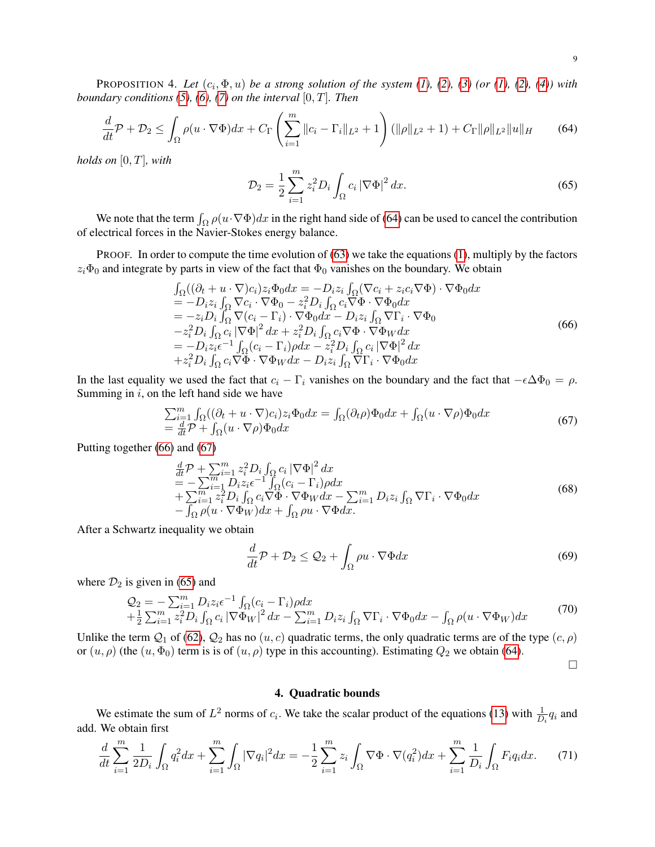**PROPOSITION 4.** Let  $(c_i, \Phi, u)$  be a strong solution of the system  $(1)$ ,  $(2)$ ,  $(3)$   $(or (1), (2), (4))$  $(or (1), (2), (4))$  $(or (1), (2), (4))$  with *boundary conditions* [\(5\)](#page-0-4), [\(6\)](#page-0-5), [\(7\)](#page-0-6) *on the interval* [0,  $T$ ]*. Then* 

<span id="page-8-1"></span>
$$
\frac{d}{dt}\mathcal{P} + \mathcal{D}_2 \le \int_{\Omega} \rho(u \cdot \nabla \Phi) dx + C_{\Gamma} \left( \sum_{i=1}^{m} ||c_i - \Gamma_i||_{L^2} + 1 \right) (||\rho||_{L^2} + 1) + C_{\Gamma} ||\rho||_{L^2} ||u||_H \tag{64}
$$

*holds on* [0, T]*, with*

<span id="page-8-4"></span>
$$
\mathcal{D}_2 = \frac{1}{2} \sum_{i=1}^m z_i^2 D_i \int_{\Omega} c_i |\nabla \Phi|^2 dx.
$$
 (65)

We note that the term  $\int_{\Omega} \rho(u \cdot \nabla \Phi) dx$  in the right hand side of [\(64\)](#page-8-1) can be used to cancel the contribution of electrical forces in the Navier-Stokes energy balance.

PROOF. In order to compute the time evolution of [\(63\)](#page-7-3) we take the equations [\(1\)](#page-0-0), multiply by the factors  $z_i\Phi_0$  and integrate by parts in view of the fact that  $\Phi_0$  vanishes on the boundary. We obtain

<span id="page-8-2"></span>
$$
\int_{\Omega} ((\partial_t + u \cdot \nabla)c_i) z_i \Phi_0 dx = -D_i z_i \int_{\Omega} (\nabla c_i + z_i c_i \nabla \Phi) \cdot \nabla \Phi_0 dx \n= -D_i z_i \int_{\Omega} \nabla c_i \cdot \nabla \Phi_0 - z_i^2 D_i \int_{\Omega} c_i \nabla \Phi \cdot \nabla \Phi_0 dx \n= -z_i D_i \int_{\Omega} \nabla (c_i - \Gamma_i) \cdot \nabla \Phi_0 dx - D_i z_i \int_{\Omega} \nabla \Gamma_i \cdot \nabla \Phi_0 \n- z_i^2 D_i \int_{\Omega} c_i |\nabla \Phi|^2 dx + z_i^2 D_i \int_{\Omega} c_i \nabla \Phi \cdot \nabla \Phi_W dx \n= -D_i z_i \epsilon^{-1} \int_{\Omega} (c_i - \Gamma_i) \rho dx - z_i^2 D_i \int_{\Omega} c_i |\nabla \Phi|^2 dx \n+ z_i^2 D_i \int_{\Omega} c_i \nabla \Phi \cdot \nabla \Phi_W dx - D_i z_i \int_{\Omega} \nabla \Gamma_i \cdot \nabla \Phi_0 dx
$$
\n(66)

In the last equality we used the fact that  $c_i - \Gamma_i$  vanishes on the boundary and the fact that  $-\epsilon \Delta \Phi_0 = \rho$ . Summing in  $i$ , on the left hand side we have

<span id="page-8-3"></span>
$$
\sum_{i=1}^{m} \int_{\Omega} ((\partial_t + u \cdot \nabla)c_i) z_i \Phi_0 dx = \int_{\Omega} (\partial_t \rho) \Phi_0 dx + \int_{\Omega} (u \cdot \nabla \rho) \Phi_0 dx
$$
  
=  $\frac{d}{dt} \mathcal{P} + \int_{\Omega} (u \cdot \nabla \rho) \Phi_0 dx$  (67)

Putting together [\(66\)](#page-8-2) and [\(67\)](#page-8-3)

$$
\begin{array}{l}\n\frac{d}{dt}\mathcal{P} + \sum_{i=1}^{m} z_i^2 D_i \int_{\Omega} c_i |\nabla \Phi|^2 dx \\
= -\sum_{i=1}^{m} D_i z_i \epsilon^{-1} \int_{\Omega} (c_i - \Gamma_i) \rho dx \\
+ \sum_{i=1}^{m} z_i^2 D_i \int_{\Omega} c_i \nabla \Phi \cdot \nabla \Phi_W dx - \sum_{i=1}^{m} D_i z_i \int_{\Omega} \nabla \Gamma_i \cdot \nabla \Phi_0 dx \\
- \int_{\Omega} \rho (u \cdot \nabla \Phi_W) dx + \int_{\Omega} \rho u \cdot \nabla \Phi dx.\n\end{array} \tag{68}
$$

After a Schwartz inequality we obtain

$$
\frac{d}{dt}\mathcal{P} + \mathcal{D}_2 \le \mathcal{Q}_2 + \int_{\Omega} \rho u \cdot \nabla \Phi dx \tag{69}
$$

where  $\mathcal{D}_2$  is given in [\(65\)](#page-8-4) and

$$
Q_2 = -\sum_{i=1}^m D_i z_i \epsilon^{-1} \int_{\Omega} (c_i - \Gamma_i) \rho dx + \frac{1}{2} \sum_{i=1}^m z_i^2 D_i \int_{\Omega} c_i |\nabla \Phi_W|^2 dx - \sum_{i=1}^m D_i z_i \int_{\Omega} \nabla \Gamma_i \cdot \nabla \Phi_0 dx - \int_{\Omega} \rho (u \cdot \nabla \Phi_W) dx
$$
(70)

Unlike the term  $Q_1$  of [\(62\)](#page-7-4),  $Q_2$  has no  $(u, c)$  quadratic terms, the only quadratic terms are of the type  $(c, \rho)$ or  $(u, \rho)$  (the  $(u, \Phi_0)$  term is is of  $(u, \rho)$  type in this accounting). Estimating  $Q_2$  we obtain [\(64\)](#page-8-1).

 $\Box$ 

### 4. Quadratic bounds

<span id="page-8-0"></span>We estimate the sum of  $L^2$  norms of  $c_i$ . We take the scalar product of the equations [\(13\)](#page-2-1) with  $\frac{1}{D_i}q_i$  and add. We obtain first

$$
\frac{d}{dt} \sum_{i=1}^{m} \frac{1}{2D_i} \int_{\Omega} q_i^2 dx + \sum_{i=1}^{m} \int_{\Omega} |\nabla q_i|^2 dx = -\frac{1}{2} \sum_{i=1}^{m} z_i \int_{\Omega} \nabla \Phi \cdot \nabla (q_i^2) dx + \sum_{i=1}^{m} \frac{1}{D_i} \int_{\Omega} F_i q_i dx. \tag{71}
$$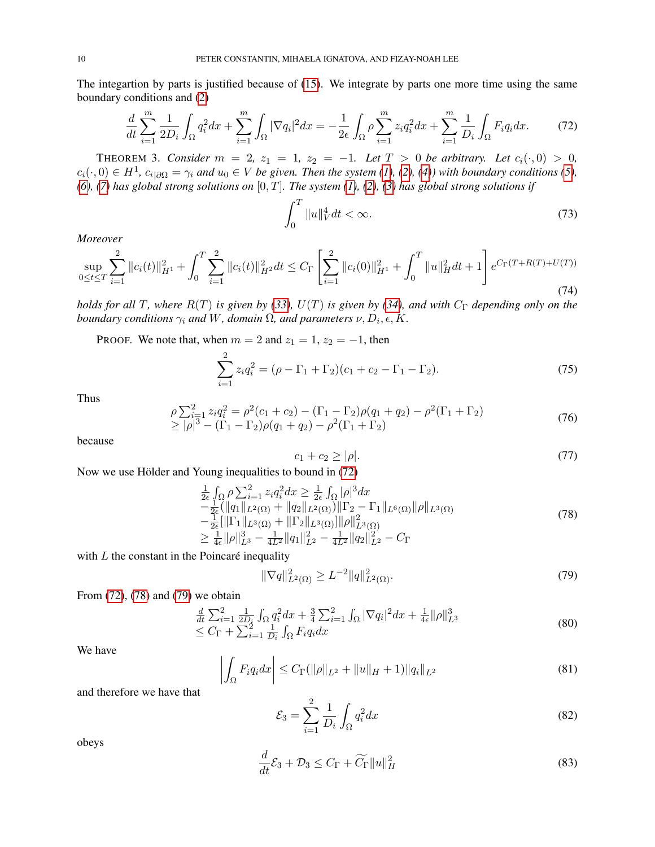The integartion by parts is justified because of [\(15\)](#page-2-3). We integrate by parts one more time using the same boundary conditions and [\(2\)](#page-0-1)

<span id="page-9-1"></span>
$$
\frac{d}{dt} \sum_{i=1}^{m} \frac{1}{2D_i} \int_{\Omega} q_i^2 dx + \sum_{i=1}^{m} \int_{\Omega} |\nabla q_i|^2 dx = -\frac{1}{2\epsilon} \int_{\Omega} \rho \sum_{i=1}^{m} z_i q_i^2 dx + \sum_{i=1}^{m} \frac{1}{D_i} \int_{\Omega} F_i q_i dx. \tag{72}
$$

<span id="page-9-0"></span>THEOREM 3. *Consider*  $m = 2$ ,  $z_1 = 1$ ,  $z_2 = -1$ . Let  $T > 0$  be arbitrary. Let  $c_i(\cdot, 0) > 0$ ,  $c_i(\cdot, 0) \in H^1$ ,  $c_{i|{\partial\Omega}} = \gamma_i$  and  $u_0 \in V$  be given. Then the system [\(1\)](#page-0-0), [\(2\)](#page-0-1), [\(4\)](#page-0-3)) with boundary conditions [\(5\)](#page-0-4),  $(6)$ *, [\(7\)](#page-0-6)* has global strong solutions on  $[0, T]$ *. The system [\(1\)](#page-0-0), [\(2\)](#page-0-1), [\(3\)](#page-0-2)* has global strong solutions if

$$
\int_0^T \|u\|_V^4 dt < \infty.
$$
\n(73)

*Moreover*

<span id="page-9-5"></span>
$$
\sup_{0 \le t \le T} \sum_{i=1}^{2} \|c_i(t)\|_{H^1}^2 + \int_0^T \sum_{i=1}^2 \|c_i(t)\|_{H^2}^2 dt \le C_\Gamma \left[ \sum_{i=1}^2 \|c_i(0)\|_{H^1}^2 + \int_0^T \|u\|_H^2 dt + 1 \right] e^{C_\Gamma(T + R(T) + U(T))}
$$
\n(74)

*holds for all* T, where  $R(T)$  *is given by [\(33\)](#page-4-4),*  $U(T)$  *is given by [\(34\)](#page-4-5), and with*  $C_{\Gamma}$  *depending only on the* boundary conditions  $\gamma_i$  and  $W$ , domain  $\Omega$ , and parameters  $\nu, D_i, \epsilon, K$ .

PROOF. We note that, when  $m = 2$  and  $z_1 = 1$ ,  $z_2 = -1$ , then

$$
\sum_{i=1}^{2} z_i q_i^2 = (\rho - \Gamma_1 + \Gamma_2)(c_1 + c_2 - \Gamma_1 - \Gamma_2).
$$
 (75)

Thus

$$
\rho \sum_{i=1}^{2} z_i q_i^2 = \rho^2 (c_1 + c_2) - (\Gamma_1 - \Gamma_2) \rho (q_1 + q_2) - \rho^2 (\Gamma_1 + \Gamma_2) \ge |\rho|^3 - (\Gamma_1 - \Gamma_2) \rho (q_1 + q_2) - \rho^2 (\Gamma_1 + \Gamma_2)
$$
\n(76)

because

$$
c_1 + c_2 \ge |\rho|.\tag{77}
$$

Now we use Hölder and Young inequalities to bound in [\(72\)](#page-9-1)

<span id="page-9-2"></span>
$$
\frac{\frac{1}{2\epsilon} \int_{\Omega} \rho \sum_{i=1}^{2} z_i q_i^2 dx \ge \frac{1}{2\epsilon} \int_{\Omega} |\rho|^3 dx}{-\frac{1}{2\epsilon} (\|q_1\|_{L^2(\Omega)} + \|q_2\|_{L^2(\Omega)}) \|\Gamma_2 - \Gamma_1\|_{L^6(\Omega)} \|\rho\|_{L^3(\Omega)} - \frac{1}{2\epsilon} [\|\Gamma_1\|_{L^3(\Omega)} + \|\Gamma_2\|_{L^3(\Omega)}) \|\rho\|_{L^3(\Omega)}^2} \ge \frac{\frac{1}{4\epsilon} \|\rho\|_{L^3}^3 - \frac{1}{4L^2} \|q_1\|_{L^2}^2 - \frac{1}{4L^2} \|q_2\|_{L^2}^2 - C_{\Gamma}
$$
\n(78)

with  $L$  the constant in the Poincaré inequality

<span id="page-9-3"></span>
$$
\|\nabla q\|_{L^2(\Omega)}^2 \ge L^{-2} \|q\|_{L^2(\Omega)}^2.
$$
\n(79)

From [\(72\)](#page-9-1), [\(78\)](#page-9-2) and [\(79\)](#page-9-3) we obtain

$$
\frac{d}{dt} \sum_{i=1}^{2} \frac{1}{2D_i} \int_{\Omega} q_i^2 dx + \frac{3}{4} \sum_{i=1}^{2} \int_{\Omega} |\nabla q_i|^2 dx + \frac{1}{4\epsilon} ||\rho||_{L^3}^3
$$
\n
$$
\leq C_{\Gamma} + \sum_{i=1}^{2} \frac{1}{D_i} \int_{\Omega} F_i q_i dx \tag{80}
$$

We have

$$
\left| \int_{\Omega} F_i q_i dx \right| \leq C_{\Gamma}(\|\rho\|_{L^2} + \|u\|_{H} + 1) \|q_i\|_{L^2}
$$
\n(81)

and therefore we have that

$$
\mathcal{E}_3 = \sum_{i=1}^2 \frac{1}{D_i} \int_{\Omega} q_i^2 dx \tag{82}
$$

obeys

<span id="page-9-4"></span>
$$
\frac{d}{dt}\mathcal{E}_3 + \mathcal{D}_3 \le C_\Gamma + \widetilde{C}_\Gamma \|u\|_H^2 \tag{83}
$$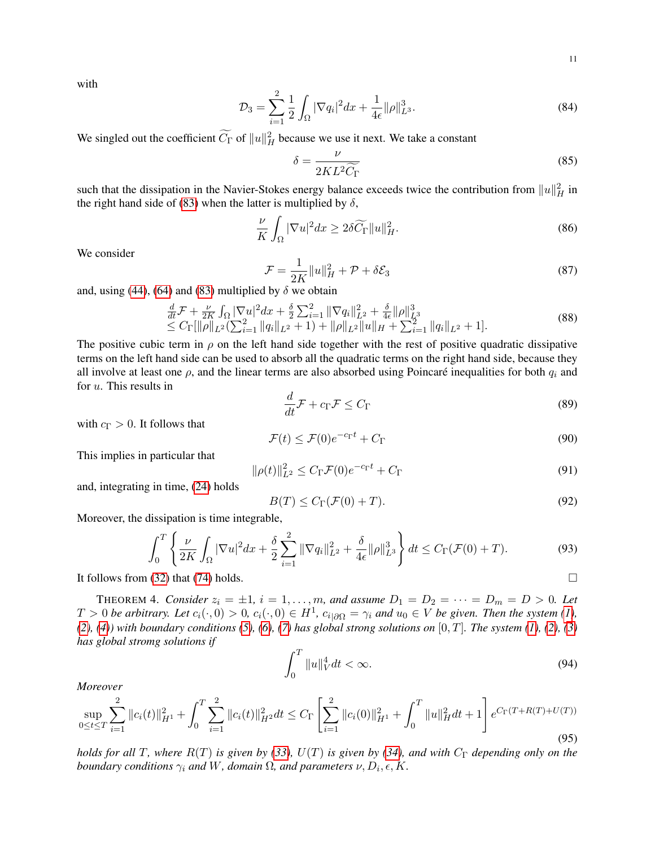with

$$
\mathcal{D}_3 = \sum_{i=1}^2 \frac{1}{2} \int_{\Omega} |\nabla q_i|^2 dx + \frac{1}{4\epsilon} ||\rho||_{L^3}^3.
$$
 (84)

We singled out the coefficient  $\widetilde{C_{\Gamma}}$  of  $||u||_H^2$  because we use it next. We take a constant

<span id="page-10-1"></span>
$$
\delta = \frac{\nu}{2KL^2 \widetilde{C_{\Gamma}}} \tag{85}
$$

such that the dissipation in the Navier-Stokes energy balance exceeds twice the contribution from  $||u||_H^2$  in the right hand side of [\(83\)](#page-9-4) when the latter is multiplied by  $\delta$ ,

$$
\frac{\nu}{K} \int_{\Omega} |\nabla u|^2 dx \ge 2\delta \widetilde{C}_{\Gamma} \|u\|_{H}^2. \tag{86}
$$

We consider

$$
\mathcal{F} = \frac{1}{2K} ||u||_H^2 + \mathcal{P} + \delta \mathcal{E}_3 \tag{87}
$$

and, using [\(44\)](#page-6-4), [\(64\)](#page-8-1) and [\(83\)](#page-9-4) multiplied by  $\delta$  we obtain

$$
\frac{d}{dt}\mathcal{F} + \frac{\nu}{2K} \int_{\Omega} |\nabla u|^2 dx + \frac{\delta}{2} \sum_{i=1}^2 ||\nabla q_i||_{L^2}^2 + \frac{\delta}{4\epsilon} ||\rho||_{L^3}^3 \leq C_{\Gamma}[\|\rho\|_{L^2}(\sum_{i=1}^2 ||q_i||_{L^2} + 1) + \|\rho\|_{L^2} ||u||_H + \sum_{i=1}^2 ||q_i||_{L^2} + 1].
$$
\n(88)

The positive cubic term in  $\rho$  on the left hand side together with the rest of positive quadratic dissipative terms on the left hand side can be used to absorb all the quadratic terms on the right hand side, because they all involve at least one  $\rho$ , and the linear terms are also absorbed using Poincaré inequalities for both  $q_i$  and for u. This results in

$$
\frac{d}{dt}\mathcal{F} + c_{\Gamma}\mathcal{F} \leq C_{\Gamma} \tag{89}
$$

with  $c_{\Gamma} > 0$ . It follows that

$$
\mathcal{F}(t) \le \mathcal{F}(0)e^{-c_{\Gamma}t} + C_{\Gamma} \tag{90}
$$

This implies in particular that

$$
\|\rho(t)\|_{L^2}^2 \le C_\Gamma \mathcal{F}(0) e^{-c_\Gamma t} + C_\Gamma \tag{91}
$$

and, integrating in time, [\(24\)](#page-3-3) holds

$$
B(T) \le C_{\Gamma}(\mathcal{F}(0) + T). \tag{92}
$$

Moreover, the dissipation is time integrable,

$$
\int_0^T \left\{ \frac{\nu}{2K} \int_{\Omega} |\nabla u|^2 dx + \frac{\delta}{2} \sum_{i=1}^2 \|\nabla q_i\|_{L^2}^2 + \frac{\delta}{4\epsilon} \|\rho\|_{L^3}^3 \right\} dt \le C_\Gamma(\mathcal{F}(0) + T). \tag{93}
$$

It follows from [\(32\)](#page-4-2) that [\(74\)](#page-9-5) holds.  $\square$ 

<span id="page-10-0"></span>**THEOREM 4.** *Consider*  $z_i = \pm 1$ ,  $i = 1, ..., m$ , and assume  $D_1 = D_2 = \cdots = D_m = D > 0$ . Let  $T > 0$  *be arbitrary. Let*  $c_i(\cdot, 0) > 0$ ,  $c_i(\cdot, 0) \in H^1$ ,  $c_{i|{\partial\Omega}} = \gamma_i$  and  $u_0 \in V$  be given. Then the system [\(1\)](#page-0-0), *[\(2\)](#page-0-1), [\(4\)](#page-0-3)) with boundary conditions [\(5\)](#page-0-4), [\(6\)](#page-0-5), [\(7\)](#page-0-6) has global strong solutions on* [0, T]*. The system [\(1\)](#page-0-0), [\(2\)](#page-0-1), [\(3\)](#page-0-2) has global stromg solutions if*

$$
\int_0^T \|u\|_V^4 dt < \infty.
$$
\n(94)

*Moreover*

$$
\sup_{0 \le t \le T} \sum_{i=1}^{2} \|c_i(t)\|_{H^1}^2 + \int_0^T \sum_{i=1}^2 \|c_i(t)\|_{H^2}^2 dt \le C_\Gamma \left[ \sum_{i=1}^2 \|c_i(0)\|_{H^1}^2 + \int_0^T \|u\|_H^2 dt + 1 \right] e^{C_\Gamma (T + R(T) + U(T))}
$$
\n(95)

*holds for all* T, where  $R(T)$  *is given by [\(33\)](#page-4-4), U(T) is given by [\(34\)](#page-4-5), and with*  $C_{\Gamma}$  *depending only on the* boundary conditions  $\gamma_i$  and  $W$ , domain  $\Omega$ , and parameters  $\nu, D_i, \epsilon, K.$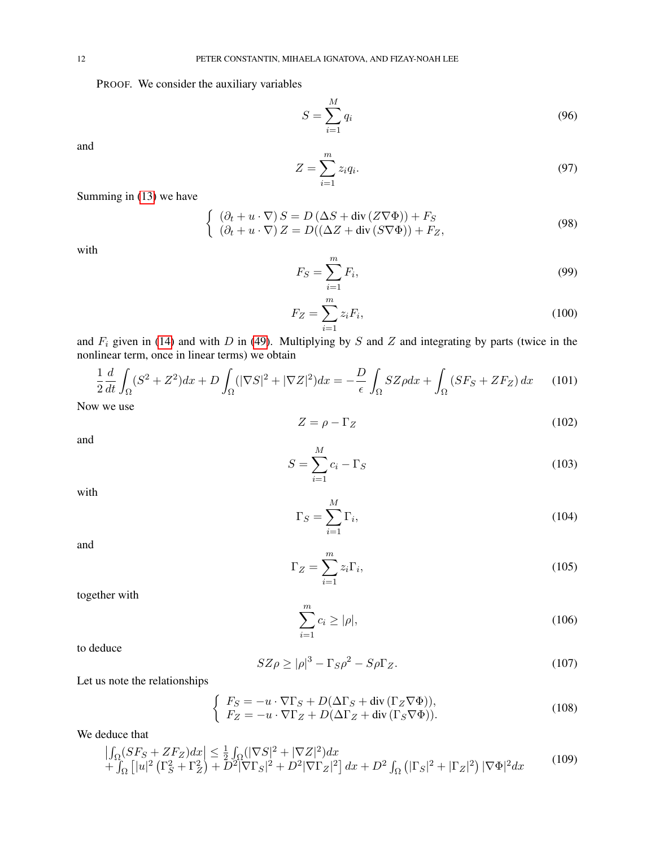PROOF. We consider the auxiliary variables

$$
S = \sum_{i=1}^{M} q_i \tag{96}
$$

and

$$
Z = \sum_{i=1}^{m} z_i q_i.
$$
\n
$$
(97)
$$

Summing in [\(13\)](#page-2-1) we have

$$
\begin{cases}\n(\partial_t + u \cdot \nabla) S = D(\Delta S + \text{div}(Z \nabla \Phi)) + F_S \\
(\partial_t + u \cdot \nabla) Z = D((\Delta Z + \text{div}(S \nabla \Phi)) + F_Z,\n\end{cases}
$$
\n(98)

with

$$
F_S = \sum_{i=1}^{m} F_i,\tag{99}
$$

$$
F_Z = \sum_{i=1}^{m} z_i F_i,
$$
\n(100)

and  $F_i$  given in [\(14\)](#page-2-4) and with D in [\(49\)](#page-6-5). Multiplying by S and Z and integrating by parts (twice in the nonlinear term, once in linear terms) we obtain

<span id="page-11-0"></span>
$$
\frac{1}{2}\frac{d}{dt}\int_{\Omega}(S^2+Z^2)dx + D\int_{\Omega}(|\nabla S|^2+|\nabla Z|^2)dx = -\frac{D}{\epsilon}\int_{\Omega}SZ\rho dx + \int_{\Omega}(SF_S+ZF_Z)dx\tag{101}
$$

Now we use

$$
Z = \rho - \Gamma_Z \tag{102}
$$

and

$$
S = \sum_{i=1}^{M} c_i - \Gamma_S \tag{103}
$$

with

$$
\Gamma_S = \sum_{i=1}^{M} \Gamma_i,\tag{104}
$$

and

$$
\Gamma_Z = \sum_{i=1}^m z_i \Gamma_i,\tag{105}
$$

together with

$$
\sum_{i=1}^{m} c_i \ge |\rho|,\tag{106}
$$

to deduce

<span id="page-11-1"></span>
$$
SZ\rho \ge |\rho|^3 - \Gamma_S \rho^2 - S\rho \Gamma_Z. \tag{107}
$$

Let us note the relationships

$$
\begin{cases}\nF_S = -u \cdot \nabla \Gamma_S + D(\Delta \Gamma_S + \text{div} (\Gamma_Z \nabla \Phi)), \\
F_Z = -u \cdot \nabla \Gamma_Z + D(\Delta \Gamma_Z + \text{div} (\Gamma_S \nabla \Phi)).\n\end{cases}
$$
\n(108)

We deduce that

<span id="page-11-2"></span>
$$
\left| \int_{\Omega} (SF_S + ZF_Z) dx \right| \le \frac{1}{2} \int_{\Omega} (|\nabla S|^2 + |\nabla Z|^2) dx + \int_{\Omega} \left[ |u|^2 \left( \Gamma_S^2 + \Gamma_Z^2 \right) + D^2 |\nabla \Gamma_S|^2 + D^2 |\nabla \Gamma_Z|^2 \right] dx + D^2 \int_{\Omega} \left( |\Gamma_S|^2 + |\Gamma_Z|^2 \right) |\nabla \Phi|^2 dx \tag{109}
$$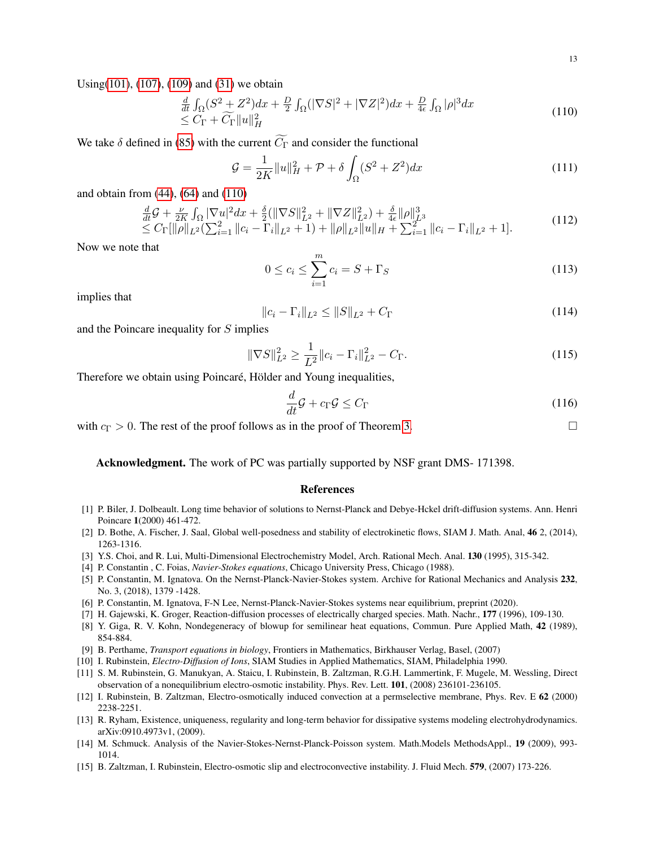Using[\(101\)](#page-11-0), [\(107\)](#page-11-1), [\(109\)](#page-11-2) and [\(31\)](#page-4-6) we obtain

<span id="page-12-14"></span>
$$
\frac{d}{dt} \int_{\Omega} (S^2 + Z^2) dx + \frac{D}{2} \int_{\Omega} (|\nabla S|^2 + |\nabla Z|^2) dx + \frac{D}{4\epsilon} \int_{\Omega} |\rho|^3 dx
$$
\n
$$
\leq C_{\Gamma} + \widetilde{C}_{\Gamma} \|u\|_{H}^2
$$
\n(110)

We take  $\delta$  defined in [\(85\)](#page-10-1) with the current  $\widetilde{C_{\Gamma}}$  and consider the functional

$$
\mathcal{G} = \frac{1}{2K} ||u||_H^2 + \mathcal{P} + \delta \int_{\Omega} (S^2 + Z^2) dx
$$
\n(111)

and obtain from [\(44\)](#page-6-4), [\(64\)](#page-8-1) and [\(110\)](#page-12-14)

$$
\frac{\frac{d}{dt}\mathcal{G} + \frac{\nu}{2K} \int_{\Omega} |\nabla u|^2 dx + \frac{\delta}{2} (\|\nabla S\|_{L^2}^2 + \|\nabla Z\|_{L^2}^2) + \frac{\delta}{4\epsilon} \|\rho\|_{L^3}^3 \leq C_{\Gamma} [\|\rho\|_{L^2} (\sum_{i=1}^2 \|c_i - \Gamma_i\|_{L^2} + 1) + \|\rho\|_{L^2} \|u\|_H + \sum_{i=1}^2 \|c_i - \Gamma_i\|_{L^2} + 1].
$$
\n(112)

Now we note that

$$
0 \le c_i \le \sum_{i=1}^{m} c_i = S + \Gamma_S \tag{113}
$$

implies that

$$
||c_i - \Gamma_i||_{L^2} \le ||S||_{L^2} + C_{\Gamma}
$$
\n(114)

and the Poincare inequality for S implies

$$
\|\nabla S\|_{L^2}^2 \ge \frac{1}{L^2} \|c_i - \Gamma_i\|_{L^2}^2 - C_\Gamma. \tag{115}
$$

Therefore we obtain using Poincaré, Hölder and Young inequalities,

$$
\frac{d}{dt}\mathcal{G} + c_{\Gamma}\mathcal{G} \le C_{\Gamma} \tag{116}
$$

with  $c_{\Gamma} > 0$ . The rest of the proof follows as in the proof of Theorem [3.](#page-9-0)

Acknowledgment. The work of PC was partially supported by NSF grant DMS-171398.

#### References

- <span id="page-12-2"></span>[1] P. Biler, J. Dolbeault. Long time behavior of solutions to Nernst-Planck and Debye-Hckel drift-diffusion systems. Ann. Henri Poincare 1(2000) 461-472.
- <span id="page-12-7"></span>[2] D. Bothe, A. Fischer, J. Saal, Global well-posedness and stability of electrokinetic flows, SIAM J. Math. Anal, 46 2, (2014), 1263-1316.
- <span id="page-12-3"></span>[3] Y.S. Choi, and R. Lui, Multi-Dimensional Electrochemistry Model, Arch. Rational Mech. Anal. 130 (1995), 315-342.
- <span id="page-12-13"></span>[4] P. Constantin , C. Foias, *Navier-Stokes equations*, Chicago University Press, Chicago (1988).
- <span id="page-12-8"></span>[5] P. Constantin, M. Ignatova. On the Nernst-Planck-Navier-Stokes system. Archive for Rational Mechanics and Analysis 232, No. 3, (2018), 1379 -1428.
- <span id="page-12-9"></span>[6] P. Constantin, M. Ignatova, F-N Lee, Nernst-Planck-Navier-Stokes systems near equilibrium, preprint (2020).
- <span id="page-12-4"></span>[7] H. Gajewski, K. Groger, Reaction-diffusion processes of electrically charged species. Math. Nachr., 177 (1996), 109-130.
- <span id="page-12-0"></span>[8] Y. Giga, R. V. Kohn, Nondegeneracy of blowup for semilinear heat equations, Commun. Pure Applied Math, 42 (1989), 854-884.
- <span id="page-12-1"></span>[9] B. Perthame, *Transport equations in biology*, Frontiers in Mathematics, Birkhauser Verlag, Basel, (2007)
- [10] I. Rubinstein, *Electro-Diffusion of Ions*, SIAM Studies in Applied Mathematics, SIAM, Philadelphia 1990.
- <span id="page-12-12"></span>[11] S. M. Rubinstein, G. Manukyan, A. Staicu, I. Rubinstein, B. Zaltzman, R.G.H. Lammertink, F. Mugele, M. Wessling, Direct observation of a nonequilibrium electro-osmotic instability. Phys. Rev. Lett. 101, (2008) 236101-236105.
- <span id="page-12-10"></span>[12] I. Rubinstein, B. Zaltzman, Electro-osmotically induced convection at a permselective membrane, Phys. Rev. E 62 (2000) 2238-2251.
- <span id="page-12-6"></span>[13] R. Ryham, Existence, uniqueness, regularity and long-term behavior for dissipative systems modeling electrohydrodynamics. arXiv:0910.4973v1, (2009).
- <span id="page-12-5"></span>[14] M. Schmuck. Analysis of the Navier-Stokes-Nernst-Planck-Poisson system. Math.Models MethodsAppl., 19 (2009), 993- 1014.
- <span id="page-12-11"></span>[15] B. Zaltzman, I. Rubinstein, Electro-osmotic slip and electroconvective instability. J. Fluid Mech. 579, (2007) 173-226.